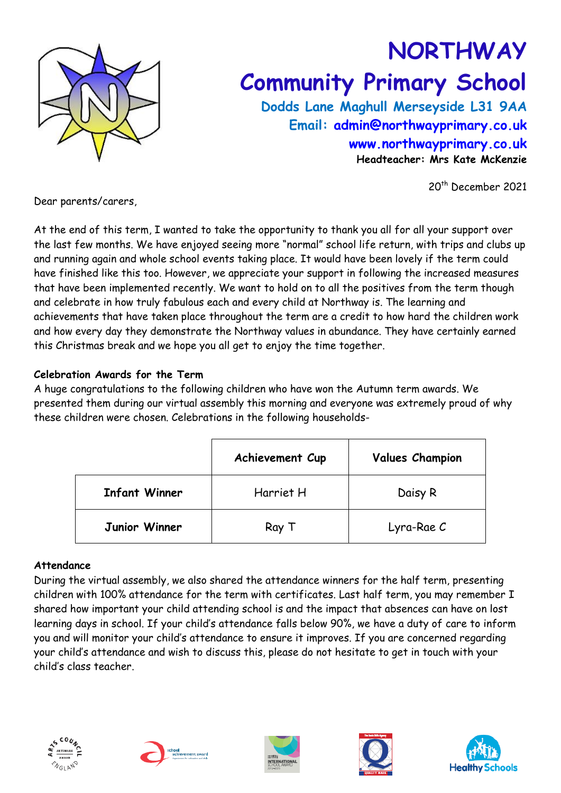

# **NORTHWAY Community Primary School**

**Dodds Lane Maghull Merseyside L31 9AA Email: [admin@northwayprimary.co.uk](mailto:admin@northwayprimary.co.uk) [www.northwayprimary.co.uk](http://www.northwayprimary.co.uk/) Headteacher: Mrs Kate McKenzie**

20th December 2021

Dear parents/carers,

At the end of this term, I wanted to take the opportunity to thank you all for all your support over the last few months. We have enjoyed seeing more "normal" school life return, with trips and clubs up and running again and whole school events taking place. It would have been lovely if the term could have finished like this too. However, we appreciate your support in following the increased measures that have been implemented recently. We want to hold on to all the positives from the term though and celebrate in how truly fabulous each and every child at Northway is. The learning and achievements that have taken place throughout the term are a credit to how hard the children work and how every day they demonstrate the Northway values in abundance. They have certainly earned this Christmas break and we hope you all get to enjoy the time together.

## **Celebration Awards for the Term**

A huge congratulations to the following children who have won the Autumn term awards. We presented them during our virtual assembly this morning and everyone was extremely proud of why these children were chosen. Celebrations in the following households-

|                      | Achievement Cup | <b>Values Champion</b> |
|----------------------|-----------------|------------------------|
| <b>Infant Winner</b> | Harriet H       | Daisy R                |
| Junior Winner        | Ray T           | Lyra-Rae C             |

### **Attendance**

During the virtual assembly, we also shared the attendance winners for the half term, presenting children with 100% attendance for the term with certificates. Last half term, you may remember I shared how important your child attending school is and the impact that absences can have on lost learning days in school. If your child's attendance falls below 90%, we have a duty of care to inform you and will monitor your child's attendance to ensure it improves. If you are concerned regarding your child's attendance and wish to discuss this, please do not hesitate to get in touch with your child's class teacher.